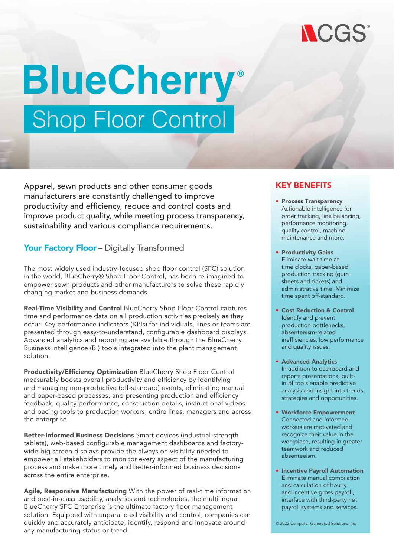

# **BlueCherry® Shop Floor Control**

Apparel, sewn products and other consumer goods manufacturers are constantly challenged to improve productivity and efficiency, reduce and control costs and improve product quality, while meeting process transparency, sustainability and various compliance requirements.

#### Your Factory Floor - Digitally Transformed

The most widely used industry-focused shop floor control (SFC) solution in the world, BlueCherry® Shop Floor Control, has been re-imagined to empower sewn products and other manufacturers to solve these rapidly changing market and business demands.

Real-Time Visibility and Control BlueCherry Shop Floor Control captures time and performance data on all production activities precisely as they occur. Key performance indicators (KPIs) for individuals, lines or teams are presented through easy-to-understand, configurable dashboard displays. Advanced analytics and reporting are available through the BlueCherry Business Intelligence (BI) tools integrated into the plant management solution.

Productivity/Efficiency Optimization BlueCherry Shop Floor Control measurably boosts overall productivity and efficiency by identifying and managing non-productive (off-standard) events, eliminating manual and paper-based processes, and presenting production and efficiency feedback, quality performance, construction details, instructional videos and pacing tools to production workers, entire lines, managers and across the enterprise.

Better-Informed Business Decisions Smart devices (industrial-strength tablets), web-based configurable management dashboards and factorywide big screen displays provide the always on visibility needed to empower all stakeholders to monitor every aspect of the manufacturing process and make more timely and better-informed business decisions across the entire enterprise.

Agile, Responsive Manufacturing With the power of real-time information and best-in-class usability, analytics and technologies, the multilingual BlueCherry SFC Enterprise is the ultimate factory floor management solution. Equipped with unparalleled visibility and control, companies can quickly and accurately anticipate, identify, respond and innovate around any manufacturing status or trend.

#### KEY BENEFITS

- Process Transparency Actionable intelligence for order tracking, line balancing, performance monitoring, quality control, machine maintenance and more.
- Productivity Gains Eliminate wait time at time clocks, paper-based production tracking (gum sheets and tickets) and administrative time. Minimize time spent off-standard.
- Cost Reduction & Control Identify and prevent production bottlenecks, absenteeism-related inefficiencies, low performance and quality issues.
- Advanced Analytics In addition to dashboard and reports presentations, builtin BI tools enable predictive analysis and insight into trends, strategies and opportunities.
- Workforce Empowerment Connected and informed workers are motivated and recognize their value in the workplace, resulting in greater teamwork and reduced absenteeism.
- Incentive Payroll Automation Eliminate manual compilation and calculation of hourly and incentive gross payroll, interface with third-party net payroll systems and services.

© 2022 Computer Generated Solutions, Inc.